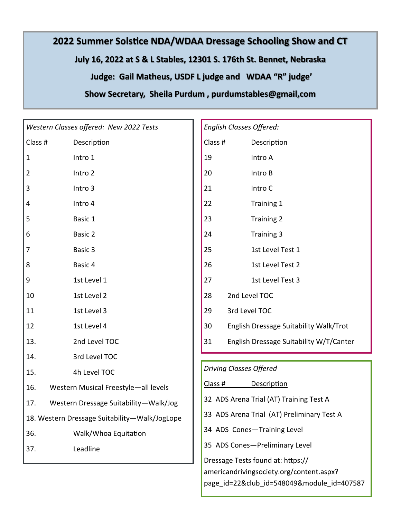## **2022 Summer Solstice NDA/WDAA Dressage Schooling Show and CT July 16, 2022 at S & L Stables, 12301 S. 176th St. Bennet, Nebraska Judge: Gail Matheus, USDF L judge and WDAA "R" judge' Show Secretary, Sheila Purdum , purdumstables@gmail,com**

| Western Classes offered: New 2022 Tests       |                      | English Classes Offered: |                                            |                                          |  |  |  |
|-----------------------------------------------|----------------------|--------------------------|--------------------------------------------|------------------------------------------|--|--|--|
| Class #                                       | <b>Description</b>   |                          | Class #                                    | <b>Description</b>                       |  |  |  |
| $\mathbf 1$                                   | Intro 1              | 19                       |                                            | Intro A                                  |  |  |  |
| $\overline{2}$                                | Intro 2              | 20                       |                                            | Intro B                                  |  |  |  |
| 3                                             | Intro 3              | 21                       |                                            | Intro C                                  |  |  |  |
| 4                                             | Intro 4              | 22                       |                                            | Training 1                               |  |  |  |
| 5                                             | Basic 1              | 23                       |                                            | <b>Training 2</b>                        |  |  |  |
| 6                                             | Basic 2              | 24                       |                                            | Training 3                               |  |  |  |
| $\overline{7}$                                | Basic 3              | 25                       |                                            | 1st Level Test 1                         |  |  |  |
| 8                                             | Basic 4              | 26                       |                                            | 1st Level Test 2                         |  |  |  |
| 9                                             | 1st Level 1          | 27                       |                                            | 1st Level Test 3                         |  |  |  |
| 10                                            | 1st Level 2          | 28                       | 2nd Level TOC                              |                                          |  |  |  |
| 11                                            | 1st Level 3          | 29                       | 3rd Level TOC                              |                                          |  |  |  |
| 12                                            | 1st Level 4          | 30                       |                                            | English Dressage Suitability Walk/Trot   |  |  |  |
| 13.                                           | 2nd Level TOC        | 31                       |                                            | English Dressage Suitability W/T/Canter  |  |  |  |
| 14.                                           | 3rd Level TOC        |                          |                                            |                                          |  |  |  |
| 15.                                           | 4h Level TOC         |                          | <b>Driving Classes Offered</b>             |                                          |  |  |  |
| 16.<br>Western Musical Freestyle-all levels   |                      | Class #                  |                                            | Description                              |  |  |  |
| 17.<br>Western Dressage Suitability-Walk/Jog  |                      |                          | 32 ADS Arena Trial (AT) Training Test A    |                                          |  |  |  |
| 18. Western Dressage Suitability-Walk/JogLope |                      |                          | 33 ADS Arena Trial (AT) Preliminary Test A |                                          |  |  |  |
| 36.                                           | Walk/Whoa Equitation |                          | 34 ADS Cones-Training Level                |                                          |  |  |  |
| 37.                                           | Leadline             |                          |                                            | 35 ADS Cones-Preliminary Level           |  |  |  |
|                                               |                      |                          | Dressage Tests found at: https://          |                                          |  |  |  |
|                                               |                      |                          |                                            | americandrivingsociety.org/content.aspx? |  |  |  |
|                                               |                      |                          | page id=22&club id=548049&module id=407587 |                                          |  |  |  |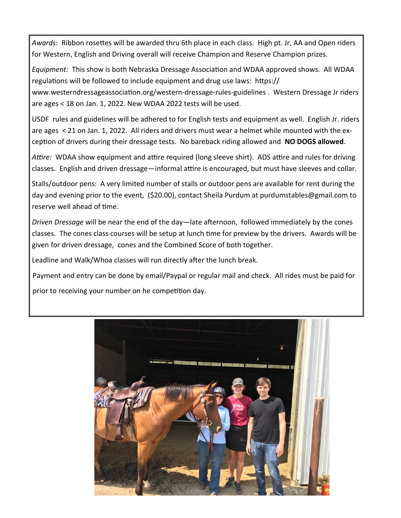*Awards*: Ribbon rosettes will be awarded thru 6th place in each class. High pt. Jr, AA and Open riders for Western, English and Driving overall will receive Champion and Reserve Champion prizes.

*Equipment:* This show is both Nebraska Dressage Association and WDAA approved shows. All WDAA regulations will be followed to include equipment and drug use laws: https://

www.westerndressageassociation.org/western-dressage-rules-guidelines . Western Dressage Jr riders are ages < 18 on Jan. 1, 2022. New WDAA 2022 tests will be used.

USDF rules and guidelines will be adhered to for English tests and equipment as well. English Jr. riders are ages < 21 on Jan. 1, 2022. All riders and drivers must wear a helmet while mounted with the exception of drivers during their dressage tests. No bareback riding allowed and **NO DOGS allowed**.

*Attire:* WDAA show equipment and attire required (long sleeve shirt). ADS attire and rules for driving classes. English and driven dressage—informal attire is encouraged, but must have sleeves and collar.

Stalls/outdoor pens: A very limited number of stalls or outdoor pens are available for rent during the day and evening prior to the event, (\$20.00), contact Sheila Purdum at purdumstables@gmail.com to reserve well ahead of time.

*Driven Dressage* will be near the end of the day—late afternoon, followed immediately by the cones classes. The cones class courses will be setup at lunch time for preview by the drivers. Awards will be given for driven dressage, cones and the Combined Score of both together.

Leadline and Walk/Whoa classes will run directly after the lunch break.

Payment and entry can be done by email/Paypal or regular mail and check. All rides must be paid for prior to receiving your number on he competition day.